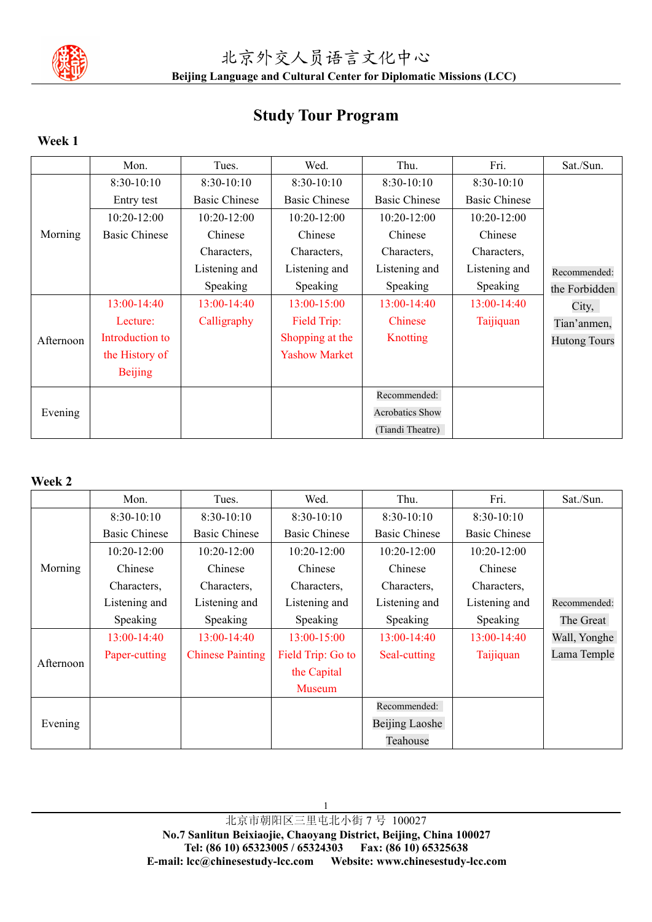

# **Study Tour Program**

# **Week 1**

|           | Mon.                 | Tues.                | Wed.                 | Thu.                   | Fri.                 | Sat./Sun.           |
|-----------|----------------------|----------------------|----------------------|------------------------|----------------------|---------------------|
|           | $8:30-10:10$         | $8:30-10:10$         | $8:30-10:10$         | $8:30-10:10$           | 8:30-10:10           |                     |
| Morning   | Entry test           | <b>Basic Chinese</b> | <b>Basic Chinese</b> | <b>Basic Chinese</b>   | <b>Basic Chinese</b> |                     |
|           | 10:20-12:00          | $10:20 - 12:00$      | 10:20-12:00          | 10:20-12:00            | 10:20-12:00          |                     |
|           | <b>Basic Chinese</b> | Chinese              | Chinese              | Chinese                | Chinese              |                     |
|           |                      | Characters,          | Characters,          | Characters,            | Characters,          |                     |
|           |                      | Listening and        | Listening and        | Listening and          | Listening and        | Recommended:        |
|           |                      | Speaking             | Speaking             | Speaking               | Speaking             | the Forbidden       |
|           | 13:00-14:40          | $13:00-14:40$        | 13:00-15:00          | 13:00-14:40            | 13:00-14:40          | City,               |
| Afternoon | Lecture:             | Calligraphy          | Field Trip:          | Chinese                | Taijiquan            | Tian'anmen,         |
|           | Introduction to      |                      | Shopping at the      | <b>Knotting</b>        |                      | <b>Hutong Tours</b> |
|           | the History of       |                      | <b>Yashow Market</b> |                        |                      |                     |
|           | <b>Beijing</b>       |                      |                      |                        |                      |                     |
|           |                      |                      |                      | Recommended:           |                      |                     |
| Evening   |                      |                      |                      | <b>Acrobatics Show</b> |                      |                     |
|           |                      |                      |                      | (Tiandi Theatre)       |                      |                     |

### **Week 2**

|           | Mon.                 | Tues.                   | Wed.                 | Thu.                  | Fri.                 | Sat./Sun.    |
|-----------|----------------------|-------------------------|----------------------|-----------------------|----------------------|--------------|
| Morning   | $8:30-10:10$         | $8:30-10:10$            | $8:30-10:10$         | $8:30-10:10$          | $8:30-10:10$         |              |
|           | <b>Basic Chinese</b> | <b>Basic Chinese</b>    | <b>Basic Chinese</b> | <b>Basic Chinese</b>  | <b>Basic Chinese</b> |              |
|           | $10:20 - 12:00$      | $10:20 - 12:00$         | 10:20-12:00          | 10:20-12:00           | 10:20-12:00          |              |
|           | Chinese              | Chinese                 | Chinese              | Chinese               | Chinese              |              |
|           | Characters,          | Characters,             | Characters,          | Characters,           | Characters,          |              |
|           | Listening and        | Listening and           | Listening and        | Listening and         | Listening and        | Recommended: |
|           | Speaking             | Speaking                | Speaking             | Speaking              | Speaking             | The Great    |
|           | 13:00-14:40          | 13:00-14:40             | 13:00-15:00          | 13:00-14:40           | 13:00-14:40          | Wall, Yonghe |
|           | Paper-cutting        | <b>Chinese Painting</b> | Field Trip: Go to    | Seal-cutting          | Taijiquan            | Lama Temple  |
| Afternoon |                      |                         | the Capital          |                       |                      |              |
|           |                      |                         | <b>Museum</b>        |                       |                      |              |
| Evening   |                      |                         |                      | Recommended:          |                      |              |
|           |                      |                         |                      | <b>Beijing Laoshe</b> |                      |              |
|           |                      |                         |                      | Teahouse              |                      |              |